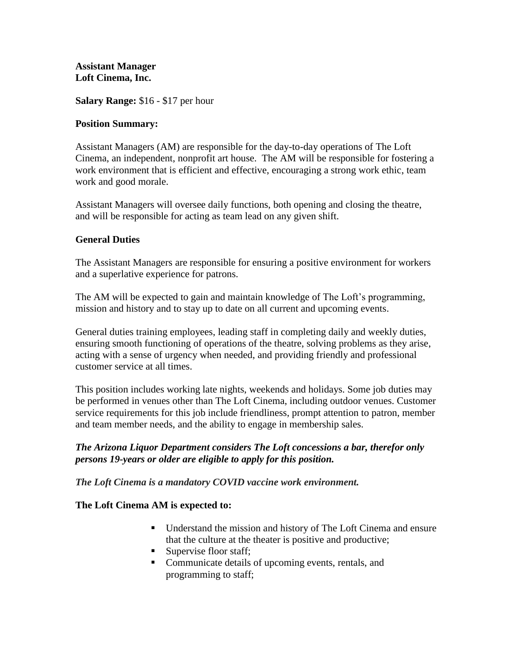#### **Assistant Manager Loft Cinema, Inc.**

**Salary Range:** \$16 - \$17 per hour

### **Position Summary:**

Assistant Managers (AM) are responsible for the day-to-day operations of The Loft Cinema, an independent, nonprofit art house. The AM will be responsible for fostering a work environment that is efficient and effective, encouraging a strong work ethic, team work and good morale.

Assistant Managers will oversee daily functions, both opening and closing the theatre, and will be responsible for acting as team lead on any given shift.

# **General Duties**

The Assistant Managers are responsible for ensuring a positive environment for workers and a superlative experience for patrons.

The AM will be expected to gain and maintain knowledge of The Loft's programming, mission and history and to stay up to date on all current and upcoming events.

General duties training employees, leading staff in completing daily and weekly duties, ensuring smooth functioning of operations of the theatre, solving problems as they arise, acting with a sense of urgency when needed, and providing friendly and professional customer service at all times.

This position includes working late nights, weekends and holidays. Some job duties may be performed in venues other than The Loft Cinema, including outdoor venues. Customer service requirements for this job include friendliness, prompt attention to patron, member and team member needs, and the ability to engage in membership sales.

# *The Arizona Liquor Department considers The Loft concessions a bar, therefor only persons 19-years or older are eligible to apply for this position.*

*The Loft Cinema is a mandatory COVID vaccine work environment.*

# **The Loft Cinema AM is expected to:**

- Understand the mission and history of The Loft Cinema and ensure that the culture at the theater is positive and productive;
- Supervise floor staff;
- Communicate details of upcoming events, rentals, and programming to staff;